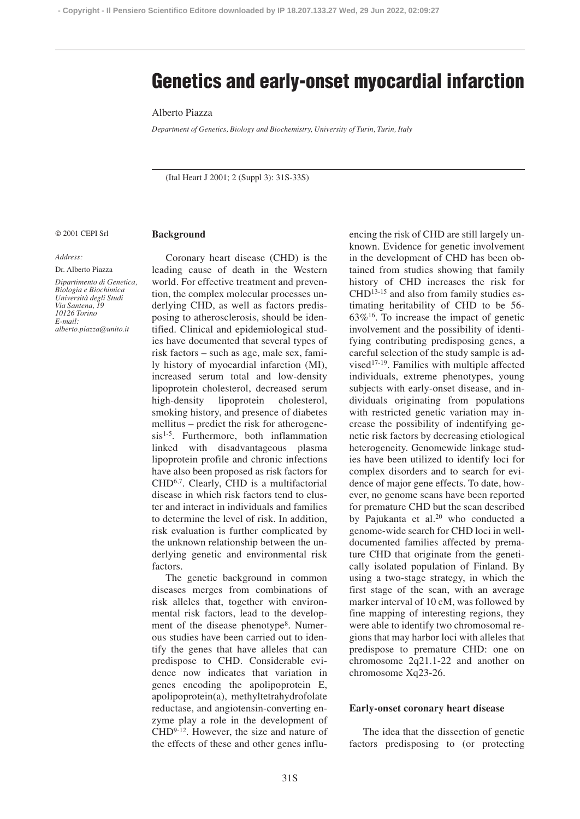# **Genetics and early-onset myocardial infarction**

## Alberto Piazza

*Department of Genetics, Biology and Biochemistry, University of Turin, Turin, Italy*

(Ital Heart J 2001; 2 (Suppl 3): 31S-33S)

#### © 2001 CEPI Srl

#### *Address:*

Dr. Alberto Piazza *Dipartimento di Genetica, Biologia e Biochimica Università degli Studi Via Santena, I 10126 Torino E-mail: alberto.piazza@unito.it*

# **Background**

Coronary heart disease (CHD) is the leading cause of death in the Western world. For effective treatment and prevention, the complex molecular processes underlying CHD, as well as factors predisposing to atherosclerosis, should be identified. Clinical and epidemiological studies have documented that several types of risk factors – such as age, male sex, family history of myocardial infarction (MI), increased serum total and low-density lipoprotein cholesterol, decreased serum high-density lipoprotein cholesterol, smoking history, and presence of diabetes mellitus – predict the risk for atherogenesis<sup>1-5</sup>. Furthermore, both inflammation linked with disadvantageous plasma lipoprotein profile and chronic infections have also been proposed as risk factors for CHD<sup>6,7</sup>. Clearly, CHD is a multifactorial disease in which risk factors tend to cluster and interact in individuals and families to determine the level of risk. In addition, risk evaluation is further complicated by the unknown relationship between the underlying genetic and environmental risk factors.

The genetic background in common diseases merges from combinations of risk alleles that, together with environmental risk factors, lead to the development of the disease phenotype<sup>8</sup>. Numerous studies have been carried out to identify the genes that have alleles that can predispose to CHD. Considerable evidence now indicates that variation in genes encoding the apolipoprotein E, apolipoprotein(a), methyltetrahydrofolate reductase, and angiotensin-converting enzyme play a role in the development of CHD9-12. However, the size and nature of the effects of these and other genes influencing the risk of CHD are still largely unknown. Evidence for genetic involvement in the development of CHD has been obtained from studies showing that family history of CHD increases the risk for CHD13-15 and also from family studies estimating heritability of CHD to be 56-  $63\%$ <sup>16</sup>. To increase the impact of genetic involvement and the possibility of identifying contributing predisposing genes, a careful selection of the study sample is advised<sup>17-19</sup>. Families with multiple affected individuals, extreme phenotypes, young subjects with early-onset disease, and individuals originating from populations with restricted genetic variation may increase the possibility of indentifying genetic risk factors by decreasing etiological heterogeneity. Genomewide linkage studies have been utilized to identify loci for complex disorders and to search for evidence of major gene effects. To date, however, no genome scans have been reported for premature CHD but the scan described by Pajukanta et al.<sup>20</sup> who conducted a genome-wide search for CHD loci in welldocumented families affected by premature CHD that originate from the genetically isolated population of Finland. By using a two-stage strategy, in which the first stage of the scan, with an average marker interval of 10 cM, was followed by fine mapping of interesting regions, they were able to identify two chromosomal regions that may harbor loci with alleles that predispose to premature CHD: one on chromosome 2q21.1-22 and another on chromosome Xq23-26.

### **Early-onset coronary heart disease**

The idea that the dissection of genetic factors predisposing to (or protecting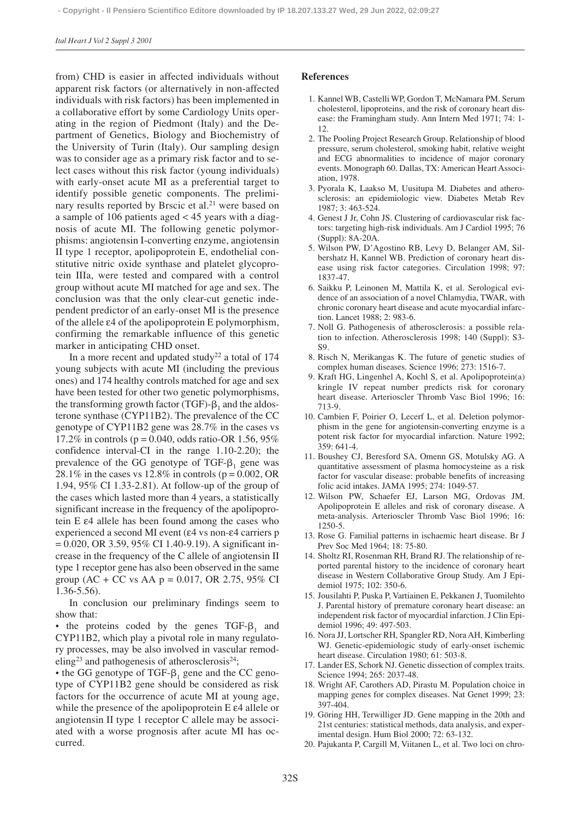from) CHD is easier in affected individuals without apparent risk factors (or alternatively in non-affected individuals with risk factors) has been implemented in a collaborative effort by some Cardiology Units operating in the region of Piedmont (Italy) and the Department of Genetics, Biology and Biochemistry of the University of Turin (Italy). Our sampling design was to consider age as a primary risk factor and to select cases without this risk factor (young individuals) with early-onset acute MI as a preferential target to identify possible genetic components. The preliminary results reported by Brscic et al.<sup>21</sup> were based on a sample of 106 patients aged < 45 years with a diagnosis of acute MI. The following genetic polymorphisms: angiotensin I-converting enzyme, angiotensin II type 1 receptor, apolipoprotein E, endothelial constitutive nitric oxide synthase and platelet glycoprotein IIIa, were tested and compared with a control group without acute MI matched for age and sex. The conclusion was that the only clear-cut genetic independent predictor of an early-onset MI is the presence of the allele ε4 of the apolipoprotein E polymorphism, confirming the remarkable influence of this genetic marker in anticipating CHD onset.

In a more recent and updated study<sup>22</sup> a total of  $174$ young subjects with acute MI (including the previous ones) and 174 healthy controls matched for age and sex have been tested for other two genetic polymorphisms, the transforming growth factor (TGF)- $\beta_1$  and the aldosterone synthase (CYP11B2). The prevalence of the CC genotype of CYP11B2 gene was 28.7% in the cases vs 17.2% in controls ( $p = 0.040$ , odds ratio-OR 1.56, 95%) confidence interval-CI in the range 1.10-2.20); the prevalence of the GG genotype of TGF- $\beta_1$  gene was 28.1% in the cases vs 12.8% in controls ( $p = 0.002$ , OR 1.94, 95% CI 1.33-2.81). At follow-up of the group of the cases which lasted more than 4 years, a statistically significant increase in the frequency of the apolipoprotein E ε4 allele has been found among the cases who experienced a second MI event (ε4 vs non-ε4 carriers p  $= 0.020$ , OR 3.59, 95% CI 1.40-9.19). A significant increase in the frequency of the C allele of angiotensin II type 1 receptor gene has also been observed in the same group (AC + CC vs AA  $p = 0.017$ , OR 2.75, 95% CI 1.36-5.56).

In conclusion our preliminary findings seem to show that:

• the proteins coded by the genes  $TGF - \beta_1$  and CYP11B2, which play a pivotal role in many regulatory processes, may be also involved in vascular remodeling<sup>23</sup> and pathogenesis of atherosclerosis<sup>24</sup>;

• the GG genotype of TGF- $\beta_1$  gene and the CC genotype of CYP11B2 gene should be considered as risk factors for the occurrence of acute MI at young age, while the presence of the apolipoprotein E ε4 allele or angiotensin II type 1 receptor C allele may be associated with a worse prognosis after acute MI has occurred.

#### **References**

- 1. Kannel WB, Castelli WP, Gordon T, McNamara PM. Serum cholesterol, lipoproteins, and the risk of coronary heart disease: the Framingham study. Ann Intern Med 1971; 74: 1- 12.
- 2. The Pooling Project Research Group. Relationship of blood pressure, serum cholesterol, smoking habit, relative weight and ECG abnormalities to incidence of major coronary events. Monograph 60. Dallas, TX: American Heart Association, 1978.
- 3. Pyorala K, Laakso M, Uusitupa M. Diabetes and atherosclerosis: an epidemiologic view. Diabetes Metab Rev 1987; 3: 463-524.
- 4. Genest J Jr, Cohn JS. Clustering of cardiovascular risk factors: targeting high-risk individuals. Am J Cardiol 1995; 76 (Suppl): 8A-20A.
- 5. Wilson PW, D'Agostino RB, Levy D, Belanger AM, Silbershatz H, Kannel WB. Prediction of coronary heart disease using risk factor categories. Circulation 1998; 97: 1837-47.
- 6. Saikku P, Leinonen M, Mattila K, et al. Serological evidence of an association of a novel Chlamydia, TWAR, with chronic coronary heart disease and acute myocardial infarction. Lancet 1988; 2: 983-6.
- 7. Noll G. Pathogenesis of atherosclerosis: a possible relation to infection. Atherosclerosis 1998; 140 (Suppl): S3- S9.
- 8. Risch N, Merikangas K. The future of genetic studies of complex human diseases. Science 1996; 273: 1516-7.
- 9. Kraft HG, Lingenhel A, Kochl S, et al. Apolipoprotein(a) kringle IV repeat number predicts risk for coronary heart disease. Arterioscler Thromb Vasc Biol 1996; 16: 713-9.
- 10. Cambien F, Poirier O, Lecerf L, et al. Deletion polymorphism in the gene for angiotensin-converting enzyme is a potent risk factor for myocardial infarction. Nature 1992; 359: 641-4.
- 11. Boushey CJ, Beresford SA, Omenn GS, Motulsky AG. A quantitative assessment of plasma homocysteine as a risk factor for vascular disease: probable benefits of increasing folic acid intakes. JAMA 1995; 274: 1049-57.
- 12. Wilson PW, Schaefer EJ, Larson MG, Ordovas JM. Apolipoprotein E alleles and risk of coronary disease. A meta-analysis. Arterioscler Thromb Vasc Biol 1996; 16: 1250-5.
- 13. Rose G. Familial patterns in ischaemic heart disease. Br J Prev Soc Med 1964; 18: 75-80.
- 14. Sholtz RI, Rosenman RH, Brand RJ. The relationship of reported parental history to the incidence of coronary heart disease in Western Collaborative Group Study. Am J Epidemiol 1975; 102: 350-6.
- 15. Jousilahti P, Puska P, Vartiainen E, Pekkanen J, Tuomilehto J. Parental history of premature coronary heart disease: an independent risk factor of myocardial infarction. J Clin Epidemiol 1996; 49: 497-503.
- 16. Nora JJ, Lortscher RH, Spangler RD, Nora AH, Kimberling WJ. Genetic-epidemiologic study of early-onset ischemic heart disease. Circulation 1980; 61: 503-8.
- 17. Lander ES, Schork NJ. Genetic dissection of complex traits. Science 1994; 265: 2037-48.
- 18. Wright AF, Carothers AD, Pirastu M. Population choice in mapping genes for complex diseases. Nat Genet 1999; 23: 397-404.
- 19. Göring HH, Terwilliger JD. Gene mapping in the 20th and 21st centuries: statistical methods, data analysis, and experimental design. Hum Biol 2000; 72: 63-132.
- 20. Pajukanta P, Cargill M, Viitanen L, et al. Two loci on chro-